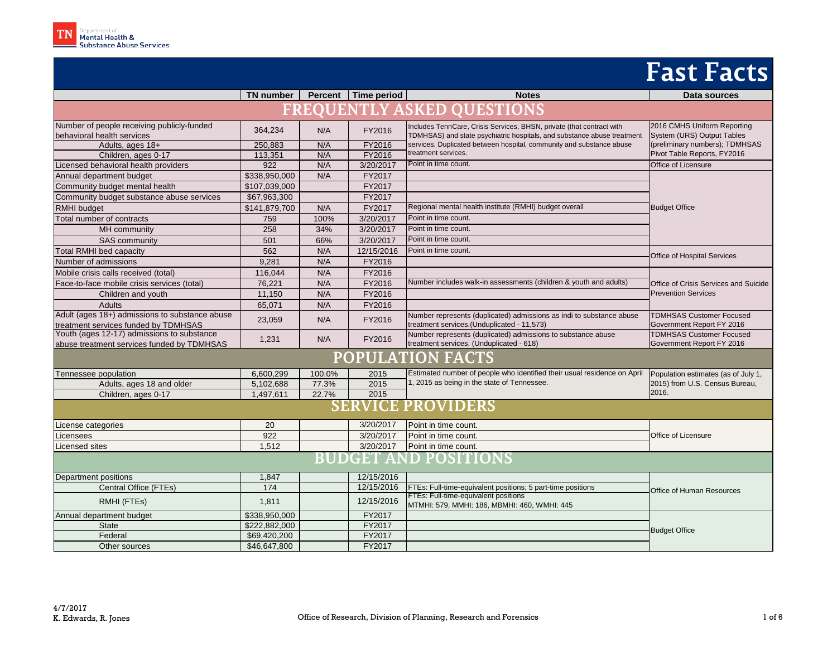|                                                                                          | TN number     | <b>Percent</b> | Time period | <b>Notes</b>                                                                                                                                     | Data sources                                                 |  |  |
|------------------------------------------------------------------------------------------|---------------|----------------|-------------|--------------------------------------------------------------------------------------------------------------------------------------------------|--------------------------------------------------------------|--|--|
| <b>FREQUENTLY ASKED QUESTIONS</b>                                                        |               |                |             |                                                                                                                                                  |                                                              |  |  |
| Number of people receiving publicly-funded<br>behavioral health services                 | 364,234       | N/A            | FY2016      | Includes TennCare, Crisis Services, BHSN, private (that contract with<br>TDMHSAS) and state psychiatric hospitals, and substance abuse treatment | 2016 CMHS Uniform Reporting<br>System (URS) Output Tables    |  |  |
| Adults, ages 18+                                                                         | 250,883       | N/A            | FY2016      | services. Duplicated between hospital, community and substance abuse                                                                             | (preliminary numbers); TDMHSAS                               |  |  |
| Children, ages 0-17                                                                      | 113,351       | N/A            | FY2016      | treatment services.                                                                                                                              | Pivot Table Reports, FY2016                                  |  |  |
| Licensed behavioral health providers                                                     | 922           | N/A            | 3/20/2017   | Point in time count.                                                                                                                             | Office of Licensure                                          |  |  |
| Annual department budget                                                                 | \$338,950,000 | N/A            | FY2017      |                                                                                                                                                  |                                                              |  |  |
| Community budget mental health                                                           | \$107,039,000 |                | FY2017      |                                                                                                                                                  |                                                              |  |  |
| Community budget substance abuse services                                                | \$67,963,300  |                | FY2017      |                                                                                                                                                  |                                                              |  |  |
| <b>RMHI</b> budget                                                                       | \$141,879,700 | N/A            | FY2017      | Regional mental health institute (RMHI) budget overall                                                                                           | <b>Budget Office</b>                                         |  |  |
| Total number of contracts                                                                | 759           | 100%           | 3/20/2017   | Point in time count.                                                                                                                             |                                                              |  |  |
| MH community                                                                             | 258           | 34%            | 3/20/2017   | Point in time count.                                                                                                                             |                                                              |  |  |
| SAS community                                                                            | 501           | 66%            | 3/20/2017   | Point in time count.                                                                                                                             |                                                              |  |  |
| <b>Total RMHI</b> bed capacity                                                           | 562           | N/A            | 12/15/2016  | Point in time count.                                                                                                                             |                                                              |  |  |
| Number of admissions                                                                     | 9,281         | N/A            | FY2016      |                                                                                                                                                  | Office of Hospital Services                                  |  |  |
| Mobile crisis calls received (total)                                                     | 116,044       | N/A            | FY2016      |                                                                                                                                                  |                                                              |  |  |
| Face-to-face mobile crisis services (total)                                              | 76,221        | N/A            | FY2016      | Number includes walk-in assessments (children & youth and adults)                                                                                | Office of Crisis Services and Suicide                        |  |  |
| Children and youth                                                                       | 11,150        | N/A            | FY2016      |                                                                                                                                                  | <b>Prevention Services</b>                                   |  |  |
| Adults                                                                                   | 65,071        | N/A            | FY2016      |                                                                                                                                                  |                                                              |  |  |
| Adult (ages 18+) admissions to substance abuse<br>treatment services funded by TDMHSAS   | 23,059        | N/A            | FY2016      | Number represents (duplicated) admissions as indi to substance abuse<br>treatment services.(Unduplicated - 11,573)                               | <b>TDMHSAS Customer Focused</b><br>Government Report FY 2016 |  |  |
| Youth (ages 12-17) admissions to substance<br>abuse treatment services funded by TDMHSAS | 1,231         | N/A            | FY2016      | Number represents (duplicated) admissions to substance abuse<br>treatment services. (Unduplicated - 618)                                         | <b>TDMHSAS Customer Focused</b><br>Government Report FY 2016 |  |  |
| <b>POPULATION FACTS</b>                                                                  |               |                |             |                                                                                                                                                  |                                                              |  |  |
| Tennessee population                                                                     | 6,600,299     | 100.0%         | 2015        | Estimated number of people who identified their usual residence on April                                                                         | Population estimates (as of July 1,                          |  |  |
| Adults, ages 18 and older                                                                | 5,102,688     | 77.3%          | 2015        | 1, 2015 as being in the state of Tennessee.                                                                                                      | 2015) from U.S. Census Bureau,                               |  |  |
| Children, ages 0-17                                                                      | 1,497,611     | 22.7%          | 2015        |                                                                                                                                                  | 2016.                                                        |  |  |
| <b>SERVICE PROVIDERS</b>                                                                 |               |                |             |                                                                                                                                                  |                                                              |  |  |
| icense categories                                                                        | 20            |                | 3/20/2017   | Point in time count.                                                                                                                             |                                                              |  |  |
| icensees                                                                                 | 922           |                | 3/20/2017   | Point in time count.                                                                                                                             | Office of Licensure                                          |  |  |
| icensed sites                                                                            | 1,512         |                | 3/20/2017   | Point in time count.                                                                                                                             |                                                              |  |  |
| <b>BUDGET AND POSITIONS</b>                                                              |               |                |             |                                                                                                                                                  |                                                              |  |  |
| Department positions                                                                     | 1,847         |                | 12/15/2016  |                                                                                                                                                  |                                                              |  |  |
| Central Office (FTEs)                                                                    | 174           |                | 12/15/2016  | FTEs: Full-time-equivalent positions; 5 part-time positions                                                                                      | Office of Human Resources                                    |  |  |
| RMHI (FTEs)                                                                              | 1,811         |                | 12/15/2016  | FTEs: Full-time-equivalent positions<br>MTMHI: 579, MMHI: 186, MBMHI: 460, WMHI: 445                                                             |                                                              |  |  |
| Annual department budget                                                                 | \$338,950,000 |                | FY2017      |                                                                                                                                                  |                                                              |  |  |
| <b>State</b>                                                                             | \$222,882,000 |                | FY2017      |                                                                                                                                                  | <b>Budget Office</b>                                         |  |  |
| Federal                                                                                  | \$69,420,200  |                | FY2017      |                                                                                                                                                  |                                                              |  |  |
| Other sources                                                                            | \$46,647,800  |                | FY2017      |                                                                                                                                                  |                                                              |  |  |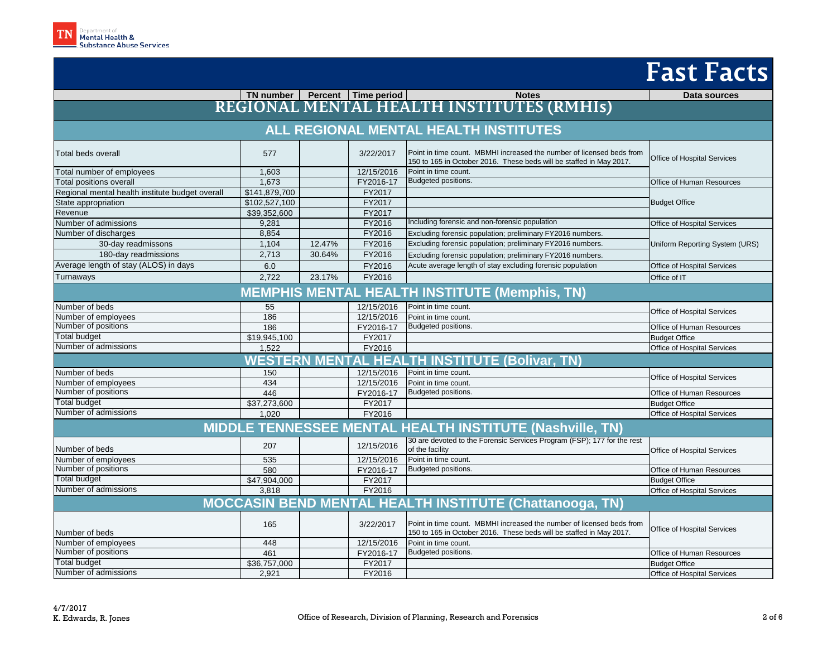|                                                                  |               |        |            |                                                                                                                                              | Fast Facts                         |  |  |
|------------------------------------------------------------------|---------------|--------|------------|----------------------------------------------------------------------------------------------------------------------------------------------|------------------------------------|--|--|
|                                                                  |               |        |            |                                                                                                                                              | Data sources                       |  |  |
|                                                                  |               |        |            | TN number Percent   Time period   Notes<br>REGIONAL MENTAL HEALTH INSTITUTES (RMHIS)                                                         |                                    |  |  |
|                                                                  |               |        |            |                                                                                                                                              |                                    |  |  |
|                                                                  |               |        |            | ALL REGIONAL MENTAL HEALTH INSTITUTES                                                                                                        |                                    |  |  |
| Total beds overall                                               | 577           |        | 3/22/2017  | Point in time count. MBMHI increased the number of licensed beds from<br>150 to 165 in October 2016. These beds will be staffed in May 2017. | <b>Office of Hospital Services</b> |  |  |
| Total number of employees                                        | 1,603         |        | 12/15/2016 | Point in time count.                                                                                                                         |                                    |  |  |
| <b>Total positions overall</b>                                   | 1.673         |        | FY2016-17  | Budgeted positions.                                                                                                                          | Office of Human Resources          |  |  |
| Regional mental health institute budget overall                  | \$141,879,700 |        | FY2017     |                                                                                                                                              |                                    |  |  |
| State appropriation                                              | \$102,527,100 |        | FY2017     |                                                                                                                                              | <b>Budget Office</b>               |  |  |
| Revenue                                                          | \$39,352,600  |        | FY2017     |                                                                                                                                              |                                    |  |  |
| Number of admissions                                             | 9.281         |        | FY2016     | Including forensic and non-forensic population                                                                                               | Office of Hospital Services        |  |  |
| Number of discharges                                             | 8.854         |        | FY2016     | Excluding forensic population; preliminary FY2016 numbers.                                                                                   |                                    |  |  |
| 30-day readmissons                                               | 1,104         | 12.47% | FY2016     | Excluding forensic population; preliminary FY2016 numbers.                                                                                   | Uniform Reporting System (URS)     |  |  |
| 180-day readmissions                                             | 2,713         | 30.64% | FY2016     | Excluding forensic population; preliminary FY2016 numbers.                                                                                   |                                    |  |  |
| Average length of stay (ALOS) in days                            | 6.0           |        | FY2016     | Acute average length of stay excluding forensic population                                                                                   | Office of Hospital Services        |  |  |
| Turnaways                                                        | 2.722         | 23.17% | FY2016     |                                                                                                                                              | Office of IT                       |  |  |
| <b>MEMPHIS MENTAL HEALTH INSTITUTE (Memphis, TN)</b>             |               |        |            |                                                                                                                                              |                                    |  |  |
| Number of beds                                                   | 55            |        | 12/15/2016 | Point in time count.                                                                                                                         |                                    |  |  |
| Number of employees                                              | 186           |        | 12/15/2016 | Point in time count.                                                                                                                         | Office of Hospital Services        |  |  |
| Number of positions                                              | 186           |        | FY2016-17  | Budgeted positions.                                                                                                                          | Office of Human Resources          |  |  |
| Total budget                                                     | \$19,945,100  |        | FY2017     |                                                                                                                                              | <b>Budget Office</b>               |  |  |
| Number of admissions                                             | 1,522         |        | FY2016     |                                                                                                                                              | Office of Hospital Services        |  |  |
| <b>WESTER</b><br><b>HEA</b><br><b>TH INSTITUTE (Bolivar, TN)</b> |               |        |            |                                                                                                                                              |                                    |  |  |
| Number of beds                                                   | 150           |        | 12/15/2016 | Point in time count.                                                                                                                         | Office of Hospital Services        |  |  |
| Number of employees                                              | 434           |        | 12/15/2016 | Point in time count.                                                                                                                         |                                    |  |  |
| Number of positions                                              | 446           |        | FY2016-17  | Budgeted positions.                                                                                                                          | Office of Human Resources          |  |  |
| Total budget                                                     | \$37,273,600  |        | FY2017     |                                                                                                                                              | <b>Budget Office</b>               |  |  |
| Number of admissions                                             | 1.020         |        | FY2016     |                                                                                                                                              | Office of Hospital Services        |  |  |
| <b>MIDDLE TENNESSEE MENTAL HEALTH INSTITUTE (Nashville, TN)</b>  |               |        |            |                                                                                                                                              |                                    |  |  |
| Number of beds                                                   | 207           |        | 12/15/2016 | 30 are devoted to the Forensic Services Program (FSP); 177 for the rest<br>of the facility                                                   | Office of Hospital Services        |  |  |
| Number of employees                                              | 535           |        | 12/15/2016 | Point in time count.                                                                                                                         |                                    |  |  |
| Number of positions                                              | 580           |        | FY2016-17  | Budgeted positions.                                                                                                                          | Office of Human Resources          |  |  |
| <b>Total budget</b>                                              | \$47,904,000  |        | FY2017     |                                                                                                                                              | <b>Budget Office</b>               |  |  |
| Number of admissions                                             | 3,818         |        | FY2016     |                                                                                                                                              | Office of Hospital Services        |  |  |
| MOCCASIN BEND MENTAL HEALTH INSTITUTE (Chattanooga, TN)          |               |        |            |                                                                                                                                              |                                    |  |  |
| Number of beds                                                   | 165           |        | 3/22/2017  | Point in time count. MBMHI increased the number of licensed beds from<br>150 to 165 in October 2016. These beds will be staffed in May 2017. | Office of Hospital Services        |  |  |
| Number of employees                                              | 448           |        | 12/15/2016 | Point in time count.                                                                                                                         |                                    |  |  |
| Number of positions                                              | 461           |        | FY2016-17  | Budgeted positions.                                                                                                                          | Office of Human Resources          |  |  |
| <b>Total budget</b>                                              | \$36,757,000  |        | FY2017     |                                                                                                                                              | <b>Budget Office</b>               |  |  |
| Number of admissions                                             | 2,921         |        | FY2016     |                                                                                                                                              | Office of Hospital Services        |  |  |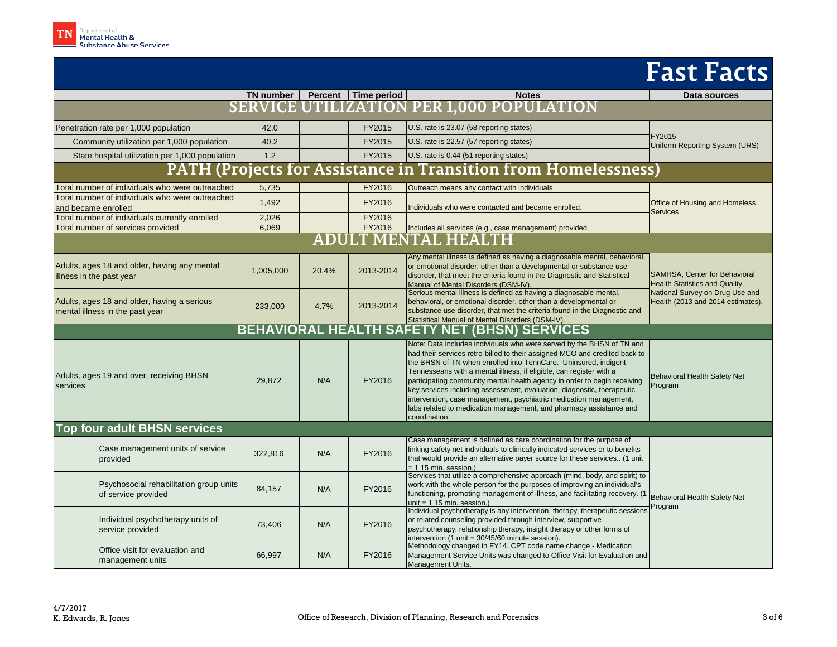|                                                                                |                                                     |              |                                   |                                                                                                                                                                                                                                                                                                                                                                                                                                                                                                                                                                                                                 | <b>Fast Facts</b>                                                                                                                       |  |  |  |
|--------------------------------------------------------------------------------|-----------------------------------------------------|--------------|-----------------------------------|-----------------------------------------------------------------------------------------------------------------------------------------------------------------------------------------------------------------------------------------------------------------------------------------------------------------------------------------------------------------------------------------------------------------------------------------------------------------------------------------------------------------------------------------------------------------------------------------------------------------|-----------------------------------------------------------------------------------------------------------------------------------------|--|--|--|
|                                                                                |                                                     |              | TN number   Percent   Time period | <b>Notes</b>                                                                                                                                                                                                                                                                                                                                                                                                                                                                                                                                                                                                    | Data sources                                                                                                                            |  |  |  |
|                                                                                |                                                     |              |                                   | SERVICE UTILIZATION PER 1,000 POPULATION                                                                                                                                                                                                                                                                                                                                                                                                                                                                                                                                                                        |                                                                                                                                         |  |  |  |
| Penetration rate per 1,000 population                                          | 42.0                                                |              | FY2015                            | U.S. rate is 23.07 (58 reporting states)                                                                                                                                                                                                                                                                                                                                                                                                                                                                                                                                                                        |                                                                                                                                         |  |  |  |
| Community utilization per 1,000 population                                     | 40.2                                                |              | FY2015                            | U.S. rate is 22.57 (57 reporting states)                                                                                                                                                                                                                                                                                                                                                                                                                                                                                                                                                                        | FY2015<br>Uniform Reporting System (URS)                                                                                                |  |  |  |
| State hospital utilization per 1,000 population                                | 1.2                                                 |              | FY2015                            | U.S. rate is 0.44 (51 reporting states)                                                                                                                                                                                                                                                                                                                                                                                                                                                                                                                                                                         |                                                                                                                                         |  |  |  |
|                                                                                |                                                     |              |                                   | PATH (Projects for Assistance in Transition from Homelessness)                                                                                                                                                                                                                                                                                                                                                                                                                                                                                                                                                  |                                                                                                                                         |  |  |  |
| Total number of individuals who were outreached                                | 5,735                                               |              | FY2016                            | Outreach means any contact with individuals.                                                                                                                                                                                                                                                                                                                                                                                                                                                                                                                                                                    |                                                                                                                                         |  |  |  |
| Total number of individuals who were outreached<br>and became enrolled         | 1,492                                               |              | FY2016                            | Individuals who were contacted and became enrolled.                                                                                                                                                                                                                                                                                                                                                                                                                                                                                                                                                             | Office of Housing and Homeless<br><b>Services</b>                                                                                       |  |  |  |
| Total number of individuals currently enrolled                                 | 2,026                                               |              | FY2016                            |                                                                                                                                                                                                                                                                                                                                                                                                                                                                                                                                                                                                                 |                                                                                                                                         |  |  |  |
| Total number of services provided                                              | 6,069                                               |              | FY2016                            | Includes all services (e.g., case management) provided.                                                                                                                                                                                                                                                                                                                                                                                                                                                                                                                                                         |                                                                                                                                         |  |  |  |
|                                                                                |                                                     | <b>ADULT</b> |                                   | <b>MENTAL HEALTH</b>                                                                                                                                                                                                                                                                                                                                                                                                                                                                                                                                                                                            |                                                                                                                                         |  |  |  |
| Adults, ages 18 and older, having any mental<br>illness in the past year       | 1,005,000                                           | 20.4%        | 2013-2014                         | Any mental illness is defined as having a diagnosable mental, behavioral,<br>or emotional disorder, other than a developmental or substance use<br>disorder, that meet the criteria found in the Diagnostic and Statistical<br>Manual of Mental Disorders (DSM-IV).                                                                                                                                                                                                                                                                                                                                             | SAMHSA, Center for Behavioral<br>Health Statistics and Quality,<br>National Survey on Drug Use and<br>Health (2013 and 2014 estimates). |  |  |  |
| Adults, ages 18 and older, having a serious<br>mental illness in the past year | 233,000                                             | 4.7%         | 2013-2014                         | Serious mental illness is defined as having a diagnosable mental,<br>behavioral, or emotional disorder, other than a developmental or<br>substance use disorder, that met the criteria found in the Diagnostic and<br>Statistical Manual of Mental Disorders (DSM-IV).                                                                                                                                                                                                                                                                                                                                          |                                                                                                                                         |  |  |  |
|                                                                                | <b>BEHAVIORAL HEALTH SAFETY NET (BHSN) SERVICES</b> |              |                                   |                                                                                                                                                                                                                                                                                                                                                                                                                                                                                                                                                                                                                 |                                                                                                                                         |  |  |  |
| Adults, ages 19 and over, receiving BHSN<br>services                           | 29,872                                              | N/A          | FY2016                            | Note: Data includes individuals who were served by the BHSN of TN and<br>had their services retro-billed to their assigned MCO and credited back to<br>the BHSN of TN when enrolled into TennCare. Uninsured, indigent<br>Tennesseans with a mental illness, if eligible, can register with a<br>participating community mental health agency in order to begin receiving<br>key services including assessment, evaluation, diagnostic, therapeutic<br>intervention, case management, psychiatric medication management,<br>labs related to medication management, and pharmacy assistance and<br>coordination. | Behavioral Health Safety Net<br>Program                                                                                                 |  |  |  |
|                                                                                | <b>Top four adult BHSN services</b>                 |              |                                   |                                                                                                                                                                                                                                                                                                                                                                                                                                                                                                                                                                                                                 |                                                                                                                                         |  |  |  |
| Case management units of service<br>provided                                   | 322,816                                             | N/A          | FY2016                            | Case management is defined as care coordination for the purpose of<br>linking safety net individuals to clinically indicated services or to benefits<br>that would provide an alternative payer source for these services (1 unit<br>$= 115$ min. session.)                                                                                                                                                                                                                                                                                                                                                     |                                                                                                                                         |  |  |  |
| Psychosocial rehabilitation group units<br>of service provided                 | 84,157                                              | N/A          | FY2016                            | Services that utilize a comprehensive approach (mind, body, and spirit) to<br>work with the whole person for the purposes of improving an individual's<br>functioning, promoting management of illness, and facilitating recovery. (1<br>unit = $115$ min. session.)                                                                                                                                                                                                                                                                                                                                            | <b>Behavioral Health Safety Net</b><br>Program                                                                                          |  |  |  |
| Individual psychotherapy units of<br>service provided                          | 73,406                                              | N/A          | FY2016                            | Individual psychotherapy is any intervention, therapy, therapeutic sessions<br>or related counseling provided through interview, supportive<br>psychotherapy, relationship therapy, insight therapy or other forms of<br>intervention (1 unit = 30/45/60 minute session).                                                                                                                                                                                                                                                                                                                                       |                                                                                                                                         |  |  |  |
| Office visit for evaluation and<br>management units                            | 66,997                                              | N/A          | FY2016                            | Methodology changed in FY14. CPT code name change - Medication<br>Management Service Units was changed to Office Visit for Evaluation and<br>Management Units.                                                                                                                                                                                                                                                                                                                                                                                                                                                  |                                                                                                                                         |  |  |  |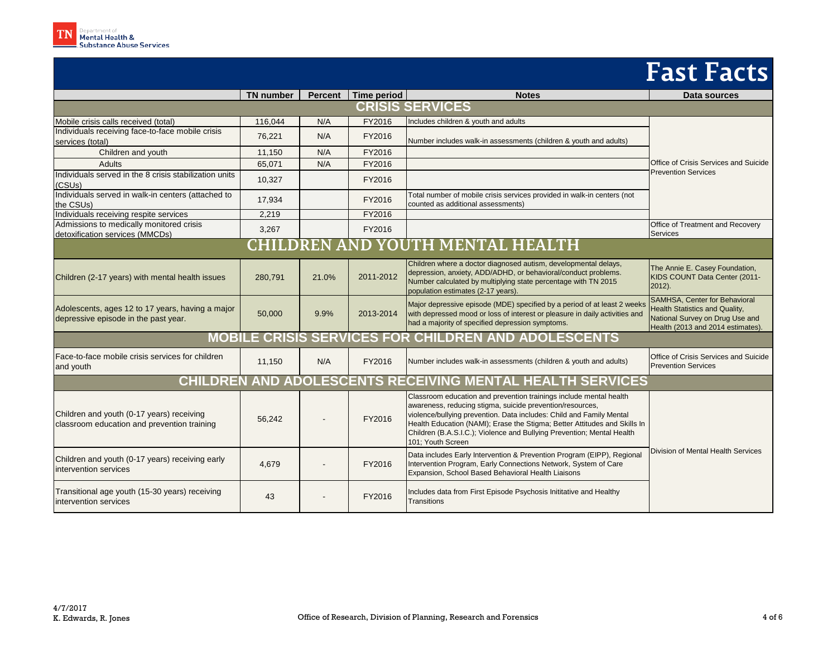|                                                                                          | <b>TN</b> number | <b>Percent</b> | Time period | <b>Notes</b>                                                                                                                                                                                                                                                                                                                                                                        | Data sources                                                                                                                            |  |  |
|------------------------------------------------------------------------------------------|------------------|----------------|-------------|-------------------------------------------------------------------------------------------------------------------------------------------------------------------------------------------------------------------------------------------------------------------------------------------------------------------------------------------------------------------------------------|-----------------------------------------------------------------------------------------------------------------------------------------|--|--|
| <b>CRISIS SERVICES</b>                                                                   |                  |                |             |                                                                                                                                                                                                                                                                                                                                                                                     |                                                                                                                                         |  |  |
| Mobile crisis calls received (total)                                                     | 116,044          | N/A            | FY2016      | Includes children & youth and adults                                                                                                                                                                                                                                                                                                                                                |                                                                                                                                         |  |  |
| Individuals receiving face-to-face mobile crisis<br>services (total)                     | 76,221           | N/A            | FY2016      | Number includes walk-in assessments (children & youth and adults)                                                                                                                                                                                                                                                                                                                   |                                                                                                                                         |  |  |
| Children and youth                                                                       | 11,150           | N/A            | FY2016      |                                                                                                                                                                                                                                                                                                                                                                                     |                                                                                                                                         |  |  |
| <b>Adults</b>                                                                            | 65,071           | N/A            | FY2016      |                                                                                                                                                                                                                                                                                                                                                                                     | <b>Office of Crisis Services and Suicide</b><br><b>Prevention Services</b>                                                              |  |  |
| Individuals served in the 8 crisis stabilization units<br>(CSUs)                         | 10,327           |                | FY2016      |                                                                                                                                                                                                                                                                                                                                                                                     |                                                                                                                                         |  |  |
| Individuals served in walk-in centers (attached to<br>the CSUs)                          | 17,934           |                | FY2016      | Total number of mobile crisis services provided in walk-in centers (not<br>counted as additional assessments)                                                                                                                                                                                                                                                                       |                                                                                                                                         |  |  |
| Individuals receiving respite services                                                   | 2,219            |                | FY2016      |                                                                                                                                                                                                                                                                                                                                                                                     |                                                                                                                                         |  |  |
| Admissions to medically monitored crisis<br>detoxification services (MMCDs)              | 3,267            |                | FY2016      |                                                                                                                                                                                                                                                                                                                                                                                     | Office of Treatment and Recovery<br><b>Services</b>                                                                                     |  |  |
| CHILDREN AND YOUTH MENTAL HEALTH                                                         |                  |                |             |                                                                                                                                                                                                                                                                                                                                                                                     |                                                                                                                                         |  |  |
| Children (2-17 years) with mental health issues                                          | 280,791          | 21.0%          | 2011-2012   | Children where a doctor diagnosed autism, developmental delays,<br>depression, anxiety, ADD/ADHD, or behavioral/conduct problems.<br>Number calculated by multiplying state percentage with TN 2015<br>population estimates (2-17 years).                                                                                                                                           | The Annie E. Casey Foundation,<br>KIDS COUNT Data Center (2011-<br>$2012$ ).                                                            |  |  |
| Adolescents, ages 12 to 17 years, having a major<br>depressive episode in the past year. | 50,000           | 9.9%           | 2013-2014   | Major depressive episode (MDE) specified by a period of at least 2 weeks<br>with depressed mood or loss of interest or pleasure in daily activities and<br>had a majority of specified depression symptoms.                                                                                                                                                                         | SAMHSA, Center for Behavioral<br>Health Statistics and Quality,<br>National Survey on Drug Use and<br>Health (2013 and 2014 estimates). |  |  |
| <b>MOBILE CRISIS SERVICES FOR CHILDREN AND ADOLESCENTS</b>                               |                  |                |             |                                                                                                                                                                                                                                                                                                                                                                                     |                                                                                                                                         |  |  |
| Face-to-face mobile crisis services for children<br>and youth                            | 11,150           | N/A            | FY2016      | Number includes walk-in assessments (children & youth and adults)                                                                                                                                                                                                                                                                                                                   | Office of Crisis Services and Suicide<br><b>Prevention Services</b>                                                                     |  |  |
|                                                                                          |                  |                |             | CHILDREN AND ADOLESCENTS RECEIVING MENTAL HEALTH SERVICES                                                                                                                                                                                                                                                                                                                           |                                                                                                                                         |  |  |
| Children and youth (0-17 years) receiving<br>classroom education and prevention training | 56,242           |                | FY2016      | Classroom education and prevention trainings include mental health<br>awareness, reducing stigma, suicide prevention/resources,<br>violence/bullying prevention. Data includes: Child and Family Mental<br>Health Education (NAMI); Erase the Stigma; Better Attitudes and Skills In<br>Children (B.A.S.I.C.); Violence and Bullying Prevention; Mental Health<br>101: Youth Screen | Division of Mental Health Services                                                                                                      |  |  |
| Children and youth (0-17 years) receiving early<br>intervention services                 | 4,679            |                | FY2016      | Data includes Early Intervention & Prevention Program (EIPP), Regional<br>Intervention Program, Early Connections Network, System of Care<br>Expansion, School Based Behavioral Health Liaisons                                                                                                                                                                                     |                                                                                                                                         |  |  |
| Transitional age youth (15-30 years) receiving<br>intervention services                  | 43               |                | FY2016      | Includes data from First Episode Psychosis Inititative and Healthy<br><b>Transitions</b>                                                                                                                                                                                                                                                                                            |                                                                                                                                         |  |  |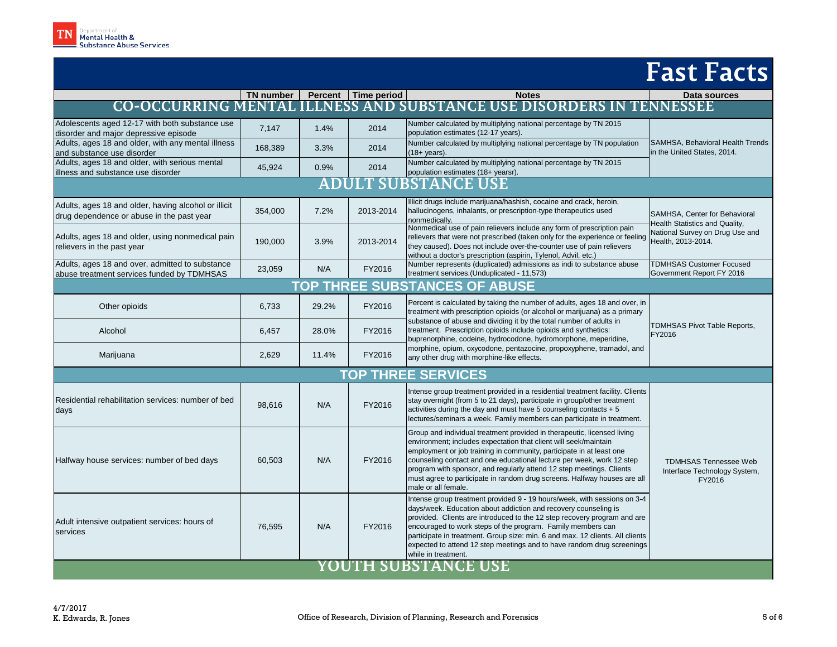|                                                                                                   | TN number |                    | Percent   Time period | <b>Notes</b>                                                                                                                                                                                                                                                                                                                                                                                                                                                             | Data sources                                                                                                             |  |  |
|---------------------------------------------------------------------------------------------------|-----------|--------------------|-----------------------|--------------------------------------------------------------------------------------------------------------------------------------------------------------------------------------------------------------------------------------------------------------------------------------------------------------------------------------------------------------------------------------------------------------------------------------------------------------------------|--------------------------------------------------------------------------------------------------------------------------|--|--|
| <b>CO-OCCURRING MENTAL</b>                                                                        |           | <b>ILLNESS AND</b> |                       | <b>SUBSTANCE USE DISORDERS IN</b>                                                                                                                                                                                                                                                                                                                                                                                                                                        | <b>TENNESSEE</b>                                                                                                         |  |  |
| Adolescents aged 12-17 with both substance use<br>disorder and major depressive episode           | 7,147     | 1.4%               | 2014                  | Number calculated by multiplying national percentage by TN 2015<br>population estimates (12-17 years).                                                                                                                                                                                                                                                                                                                                                                   |                                                                                                                          |  |  |
| Adults, ages 18 and older, with any mental illness<br>and substance use disorder                  | 168,389   | 3.3%               | 2014                  | Number calculated by multiplying national percentage by TN population<br>$(18 + \text{years}).$                                                                                                                                                                                                                                                                                                                                                                          | SAMHSA, Behavioral Health Trends<br>in the United States, 2014.                                                          |  |  |
| Adults, ages 18 and older, with serious mental<br>illness and substance use disorder              | 45,924    | 0.9%               | 2014                  | Number calculated by multiplying national percentage by TN 2015<br>population estimates (18+ yearsr).                                                                                                                                                                                                                                                                                                                                                                    |                                                                                                                          |  |  |
| <b>ULT SU</b><br>AD<br><b>BSTANCE USE</b>                                                         |           |                    |                       |                                                                                                                                                                                                                                                                                                                                                                                                                                                                          |                                                                                                                          |  |  |
| Adults, ages 18 and older, having alcohol or illicit<br>drug dependence or abuse in the past year | 354,000   | 7.2%               | 2013-2014             | Illicit drugs include marijuana/hashish, cocaine and crack, heroin,<br>hallucinogens, inhalants, or prescription-type therapeutics used<br>nonmedically.                                                                                                                                                                                                                                                                                                                 | SAMHSA, Center for Behavioral<br>Health Statistics and Quality,<br>National Survey on Drug Use and<br>Health. 2013-2014. |  |  |
| Adults, ages 18 and older, using nonmedical pain<br>relievers in the past year                    | 190,000   | 3.9%               | 2013-2014             | Nonmedical use of pain relievers include any form of prescription pain<br>relievers that were not prescribed (taken only for the experience or feeling<br>they caused). Does not include over-the-counter use of pain relievers<br>without a doctor's prescription (aspirin, Tylenol, Advil, etc.)                                                                                                                                                                       |                                                                                                                          |  |  |
| Adults, ages 18 and over, admitted to substance<br>abuse treatment services funded by TDMHSAS     | 23,059    | N/A                | FY2016                | Number represents (duplicated) admissions as indi to substance abuse<br>treatment services.(Unduplicated - 11,573)                                                                                                                                                                                                                                                                                                                                                       | <b>TDMHSAS Customer Focused</b><br>Government Report FY 2016                                                             |  |  |
| <b>TOP THREE SUBSTANCES OF ABUSE</b>                                                              |           |                    |                       |                                                                                                                                                                                                                                                                                                                                                                                                                                                                          |                                                                                                                          |  |  |
| Other opioids                                                                                     | 6,733     | 29.2%              | FY2016                | Percent is calculated by taking the number of adults, ages 18 and over, in<br>treatment with prescription opioids (or alcohol or marijuana) as a primary                                                                                                                                                                                                                                                                                                                 | TDMHSAS Pivot Table Reports,<br>FY2016                                                                                   |  |  |
| Alcohol                                                                                           | 6,457     | 28.0%              | FY2016                | substance of abuse and dividing it by the total number of adults in<br>treatment. Prescription opioids include opioids and synthetics:<br>buprenorphine, codeine, hydrocodone, hydromorphone, meperidine,<br>morphine, opium, oxycodone, pentazocine, propoxyphene, tramadol, and<br>any other drug with morphine-like effects.                                                                                                                                          |                                                                                                                          |  |  |
| Marijuana                                                                                         | 2,629     | 11.4%              | FY2016                |                                                                                                                                                                                                                                                                                                                                                                                                                                                                          |                                                                                                                          |  |  |
| <b>TOP THREE SERVICES</b>                                                                         |           |                    |                       |                                                                                                                                                                                                                                                                                                                                                                                                                                                                          |                                                                                                                          |  |  |
| Residential rehabilitation services: number of bed<br>days                                        | 98,616    | N/A                | FY2016                | Intense group treatment provided in a residential treatment facility. Clients<br>stay overnight (from 5 to 21 days), participate in group/other treatment<br>activities during the day and must have 5 counseling contacts $+5$<br>lectures/seminars a week. Family members can participate in treatment.                                                                                                                                                                |                                                                                                                          |  |  |
| Halfway house services: number of bed days                                                        | 60,503    | N/A                | FY2016                | Group and individual treatment provided in therapeutic, licensed living<br>environment; includes expectation that client will seek/maintain<br>employment or job training in community, participate in at least one<br>counseling contact and one educational lecture per week, work 12 step<br>program with sponsor, and regularly attend 12 step meetings. Clients<br>must agree to participate in random drug screens. Halfway houses are all<br>male or all female.  | <b>TDMHSAS Tennessee Web</b><br>Interface Technology System,<br>FY2016                                                   |  |  |
| Adult intensive outpatient services: hours of<br>services                                         | 76,595    | N/A                | FY2016                | Intense group treatment provided 9 - 19 hours/week, with sessions on 3-4<br>days/week. Education about addiction and recovery counseling is<br>provided. Clients are introduced to the 12 step recovery program and are<br>encouraged to work steps of the program. Family members can<br>participate in treatment. Group size: min. 6 and max. 12 clients. All clients<br>expected to attend 12 step meetings and to have random drug screenings<br>while in treatment. |                                                                                                                          |  |  |
| YOUTH SUBSTANCE USE                                                                               |           |                    |                       |                                                                                                                                                                                                                                                                                                                                                                                                                                                                          |                                                                                                                          |  |  |